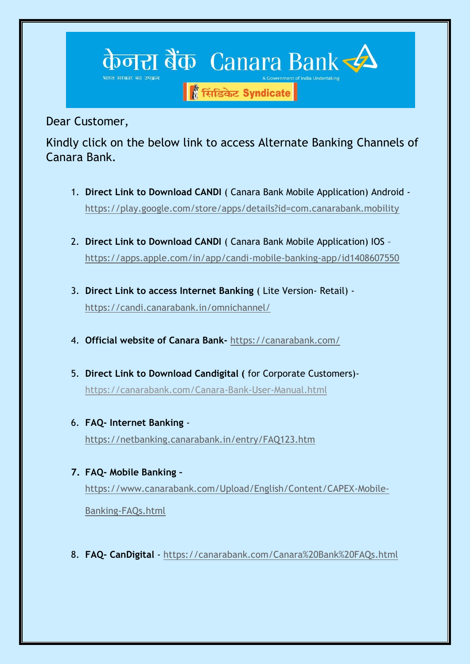

Dear Customer,

Kindly click on the below link to access Alternate Banking Channels of Canara Bank.

- 1. **Direct Link to Download CANDI** ( Canara Bank Mobile Application) Android <https://play.google.com/store/apps/details?id=com.canarabank.mobility>
- 2. **Direct Link to Download CANDI** ( Canara Bank Mobile Application) IOS <https://apps.apple.com/in/app/candi-mobile-banking-app/id1408607550>
- 3. **Direct Link to access Internet Banking** ( Lite Version- Retail) <https://candi.canarabank.in/omnichannel/>
- 4. **Official website of Canara Bank-** <https://canarabank.com/>
- 5. **Direct Link to Download Candigital (** for Corporate Customers) <https://canarabank.com/Canara-Bank-User-Manual.html>
- 6. **FAQ- Internet Banking** <https://netbanking.canarabank.in/entry/FAQ123.htm>
- **7. FAQ- Mobile Banking –** [https://www.canarabank.com/Upload/English/Content/CAPEX-Mobile-](https://www.canarabank.com/Upload/English/Content/CAPEX-Mobile-Banking-FAQs.html)[Banking-FAQs.html](https://www.canarabank.com/Upload/English/Content/CAPEX-Mobile-Banking-FAQs.html)
- 8. **FAQ- CanDigital** <https://canarabank.com/Canara%20Bank%20FAQs.html>